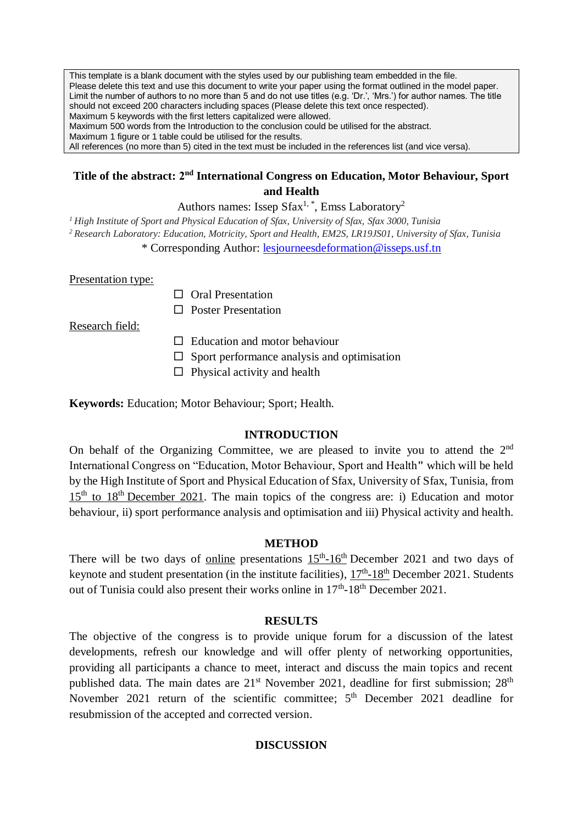This template is a blank document with the styles used by our publishing team embedded in the file. Please delete this text and use this document to write your paper using the format outlined in the model paper. Limit the number of authors to no more than 5 and do not use titles (e.g. 'Dr.', 'Mrs.') for author names. The title should not exceed 200 characters including spaces (Please delete this text once respected). Maximum 5 keywords with the first letters capitalized were allowed. Maximum 500 words from the Introduction to the conclusion could be utilised for the abstract. Maximum 1 figure or 1 table could be utilised for the results. All references (no more than 5) cited in the text must be included in the references list (and vice versa).

# Title of the abstract: 2<sup>nd</sup> International Congress on Education, Motor Behaviour, Sport **and Health**

Authors names: Issep  $S$ fax<sup>1,\*</sup>, Emss Laboratory<sup>2</sup>

*<sup>1</sup>High Institute of Sport and Physical Education of Sfax, University of Sfax, Sfax 3000, Tunisia*

*<sup>2</sup>Research Laboratory: Education, Motricity, Sport and Health, EM2S, LR19JS01, University of Sfax, Tunisia*

\* Corresponding Author: [lesjourneesdeformation@isseps.usf.tn](mailto:lesjourneesdeformation@isseps.usf.tn)

Presentation type:

- $\Box$  Oral Presentation
- $\Box$  Poster Presentation

Research field:

- $\Box$  Education and motor behaviour
- $\square$  Sport performance analysis and optimisation
- $\Box$  Physical activity and health

**Keywords:** Education; Motor Behaviour; Sport; Health.

# **INTRODUCTION**

On behalf of the Organizing Committee, we are pleased to invite you to attend the  $2<sup>nd</sup>$ International Congress on "Education, Motor Behaviour, Sport and Health**"** which will be held by the High Institute of Sport and Physical Education of Sfax, University of Sfax, Tunisia, from 15<sup>th</sup> to 18<sup>th</sup> December 2021. The main topics of the congress are: i) Education and motor behaviour, ii) sport performance analysis and optimisation and iii) Physical activity and health.

### **METHOD**

There will be two days of online presentations  $15<sup>th</sup>$ -16<sup>th</sup> December 2021 and two days of keynote and student presentation (in the institute facilities),  $17<sup>th</sup> - 18<sup>th</sup>$  December 2021. Students out of Tunisia could also present their works online in  $17<sup>th</sup>$ -18<sup>th</sup> December 2021.

# **RESULTS**

The objective of the congress is to provide unique forum for a discussion of the latest developments, refresh our knowledge and will offer plenty of networking opportunities, providing all participants a chance to meet, interact and discuss the main topics and recent published data. The main dates are  $21<sup>st</sup>$  November 2021, deadline for first submission;  $28<sup>th</sup>$ November 2021 return of the scientific committee;  $5<sup>th</sup>$  December 2021 deadline for resubmission of the accepted and corrected version.

### **DISCUSSION**